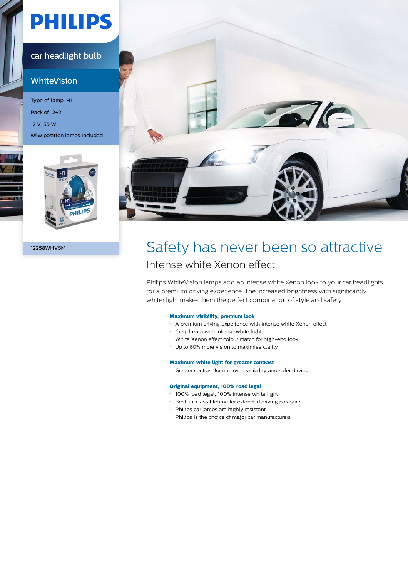# **PHILIPS**

#### car headlight bulb

### **WhiteVision**

Type of lamp: H1 Pack of: 2+2 12 V, 55 W w5w position lamps included





### 12258WHVSM Safety has never been so attractive Intense white Xenon effect

Philips WhiteVision lamps add an intense white Xenon look to your car headlights for a premium driving experience. The increased brightness with significantly whiter light makes them the perfect combination of style and safety.

#### **Maximum visibility, premium look**

- A premium driving experience with intense white Xenon effect
- Crisp beam with intense white light
- White Xenon effect colour match for high-end look
- Up to 60% more vision to maximise clarity

#### **Maximum white light for greater contrast**

Greater contrast for improved visibility and safer driving

#### **Original equipment, 100% road legal**

- 100% road legal, 100% intense white light
- Best-in-class lifetime for extended driving pleasure
- Philips car lamps are highly resistant
- Philips is the choice of major car manufacturers